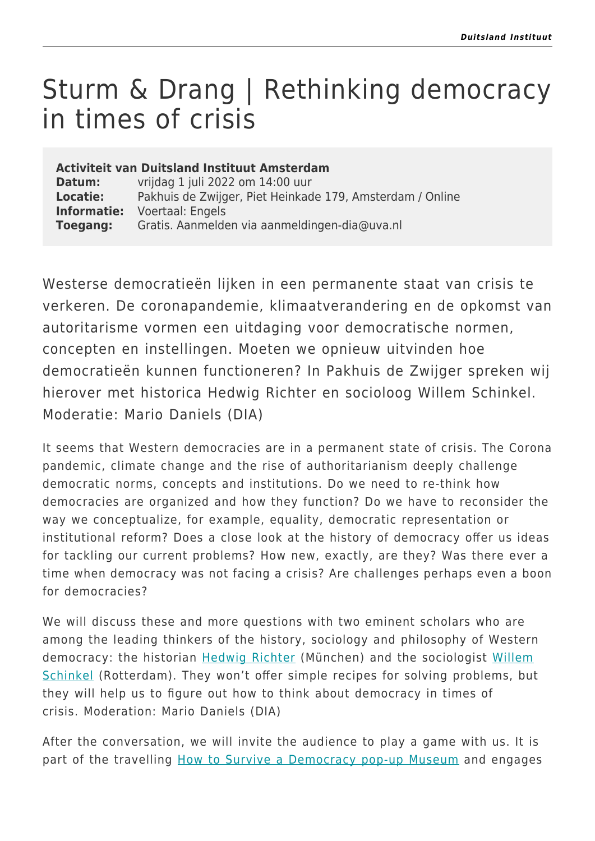## Sturm & Drang | Rethinking democracy in times of crisis

## **Activiteit van Duitsland Instituut Amsterdam**

**Datum:** vrijdag 1 juli 2022 om 14:00 uur **Locatie:** Pakhuis de Zwijger, Piet Heinkade 179, Amsterdam / Online **Informatie:** Voertaal: Engels **Toegang:** Gratis. Aanmelden via aanmeldingen-dia@uva.nl

Westerse democratieën lijken in een permanente staat van crisis te verkeren. De coronapandemie, klimaatverandering en de opkomst van autoritarisme vormen een uitdaging voor democratische normen, concepten en instellingen. Moeten we opnieuw uitvinden hoe democratieën kunnen functioneren? In Pakhuis de Zwijger spreken wij hierover met historica Hedwig Richter en socioloog Willem Schinkel. Moderatie: Mario Daniels (DIA)

It seems that Western democracies are in a permanent state of crisis. The Corona pandemic, climate change and the rise of authoritarianism deeply challenge democratic norms, concepts and institutions. Do we need to re-think how democracies are organized and how they function? Do we have to reconsider the way we conceptualize, for example, equality, democratic representation or institutional reform? Does a close look at the history of democracy offer us ideas for tackling our current problems? How new, exactly, are they? Was there ever a time when democracy was not facing a crisis? Are challenges perhaps even a boon for democracies?

We will discuss these and more questions with two eminent scholars who are among the leading thinkers of the history, sociology and philosophy of Western democracy: the historian **[Hedwig Richter](https://www.unibw.de/geschichte-en/chairs/modern/staff/richter)** (München) and the sociologist [Willem](https://www.eur.nl/people/willem-schinkel) [Schinkel](https://www.eur.nl/people/willem-schinkel) (Rotterdam). They won't offer simple recipes for solving problems, but they will help us to figure out how to think about democracy in times of crisis. Moderation: Mario Daniels (DIA)

After the conversation, we will invite the audience to play a game with us. It is part of the travelling [How to Survive a Democracy pop-up Museum](https://eur04.safelinks.protection.outlook.com/?url=https%3A%2F%2Fwww.ironcurtainproject.eu%2Fen%2Fevents%2Fhoe-overleeft-de-democratie-ons%2F&data=04%7C01%7Cp.schulzegocking%40uva.nl%7Cf0171666acd3442a5af408d99d155bf9%7Ca0f1cacd618c4403b94576fb3d6874e5%7C0%7C0%7C637713537318148841%7CUnknown%7CTWFpbGZsb3d8eyJWIjoiMC4wLjAwMDAiLCJQIjoiV2luMzIiLCJBTiI6Ik1haWwiLCJXVCI6Mn0%3D%7C1000&sdata=Y055TCYJI%2FP5MjIXeu3oPizBZxMjUs24WE5Pi%2F4TL1U%3D&reserved=0) and engages